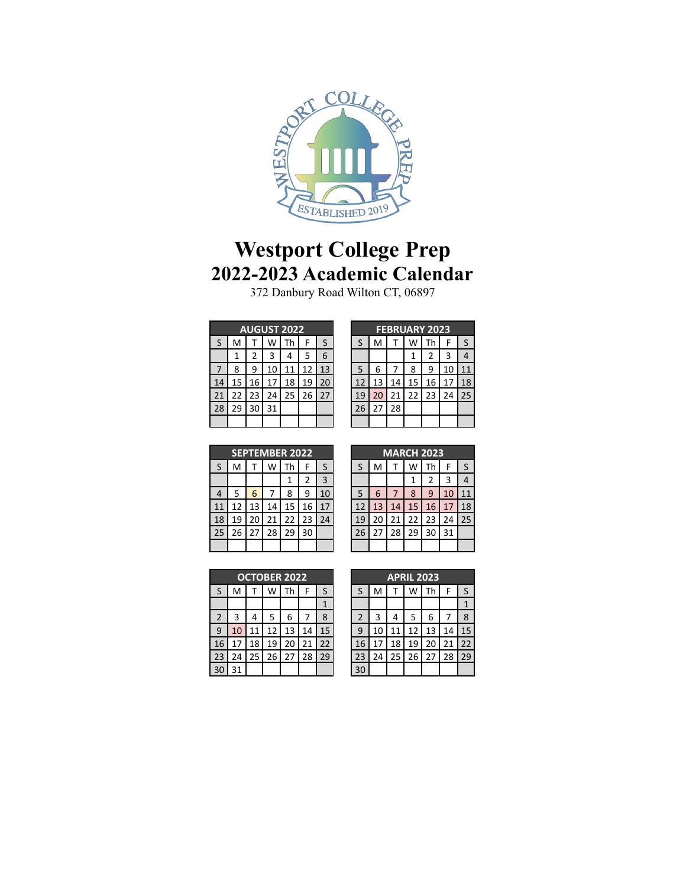

## **Westport College Prep 2022-2023 Academic Calendar**

Danbury Road Wilton CT, 06897

|    | <b>AUGUST 2022</b> |    |    |    |    |    |  |  |  |  |
|----|--------------------|----|----|----|----|----|--|--|--|--|
| S  | M                  |    | W  | Th | F  | S  |  |  |  |  |
|    | 1                  | 2  | 3  | 4  | 5  | 6  |  |  |  |  |
|    | 8                  | 9  | 10 | 11 | 12 | 13 |  |  |  |  |
| 14 | 15                 | 16 | 17 | 18 | 19 | 20 |  |  |  |  |
| 21 | 22                 | 23 | 24 | 25 | 26 | 27 |  |  |  |  |
| 28 | 29                 | 30 | 31 |    |    |    |  |  |  |  |
|    |                    |    |    |    |    |    |  |  |  |  |

| <b>FEBRUARY 2023</b> |    |    |    |    |    |    |  |  |
|----------------------|----|----|----|----|----|----|--|--|
| S                    | M  |    | W  | Th | F  | S  |  |  |
|                      |    |    | 1  | 2  | 3  | 4  |  |  |
| 5                    | 6  |    | 8  | 9  | 10 | 11 |  |  |
| 12                   | 13 | 14 | 15 | 16 | 17 | 18 |  |  |
| 19                   | 20 | 21 | 22 | 23 | 24 | 25 |  |  |
| 26                   | 27 | 28 |    |    |    |    |  |  |
|                      |    |    |    |    |    |    |  |  |

|                | <b>SEPTEMBER 2022</b> |    |    |    |                |    |  |  |  |
|----------------|-----------------------|----|----|----|----------------|----|--|--|--|
| S              | M                     |    | W  | Th | F              | S  |  |  |  |
|                |                       |    |    | 1  | $\overline{2}$ | 3  |  |  |  |
| $\overline{4}$ | 5                     | 6  |    | 8  | 9              | 10 |  |  |  |
| 11             | 12                    | 13 | 14 | 15 | 16             | 17 |  |  |  |
| 18             | 19                    | 20 | 21 | 22 | 23             | 24 |  |  |  |
| 25             | 26                    | 27 | 28 | 29 | 30             |    |  |  |  |
|                |                       |    |    |    |                |    |  |  |  |

|    | <b>MARCH 2023</b> |    |    |    |    |    |  |  |  |
|----|-------------------|----|----|----|----|----|--|--|--|
| S  | M                 |    | W  | Th | F  | S  |  |  |  |
|    |                   |    | 1  | 2  | 3  | 4  |  |  |  |
| 5  | 6                 | 7  | 8  | q  | 10 |    |  |  |  |
| 12 | 13                | 14 | 15 | 16 | 17 | 18 |  |  |  |
| 19 | 20                | 21 | 22 | 23 | 24 | 25 |  |  |  |
| 26 | 27                | 28 | 29 | 30 | 31 |    |  |  |  |
|    |                   |    |    |    |    |    |  |  |  |

| <b>OCTOBER 2022</b> |    |    |    |    |    |    |  |  |
|---------------------|----|----|----|----|----|----|--|--|
| S                   | M  |    | W  | Th | F  | S  |  |  |
|                     |    |    |    |    |    | 1  |  |  |
| $\overline{2}$      | 3  | 4  | 5  | 6  |    | 8  |  |  |
| 9                   | 10 | 11 | 12 | 13 | 14 | 15 |  |  |
| 16                  | 17 | 18 | 19 | 20 | 21 | 22 |  |  |
| 23                  | 24 | 25 | 26 | 27 | 28 | 29 |  |  |
|                     | 31 |    |    |    |    |    |  |  |

|                | <b>APRIL 2023</b> |    |    |    |    |    |  |  |  |
|----------------|-------------------|----|----|----|----|----|--|--|--|
| S              | M                 |    | w  | Th | F  | S  |  |  |  |
|                |                   |    |    |    |    |    |  |  |  |
| $\overline{2}$ | 3                 | 4  | 5  | 6  |    | 8  |  |  |  |
| 9              | 10                | 11 | 12 | 13 | 14 | 15 |  |  |  |
| 16             | 17                | 18 | 19 | 20 | 21 | 22 |  |  |  |
| 23             | 24                | 25 | 26 | 27 | 28 | 29 |  |  |  |
|                |                   |    |    |    |    |    |  |  |  |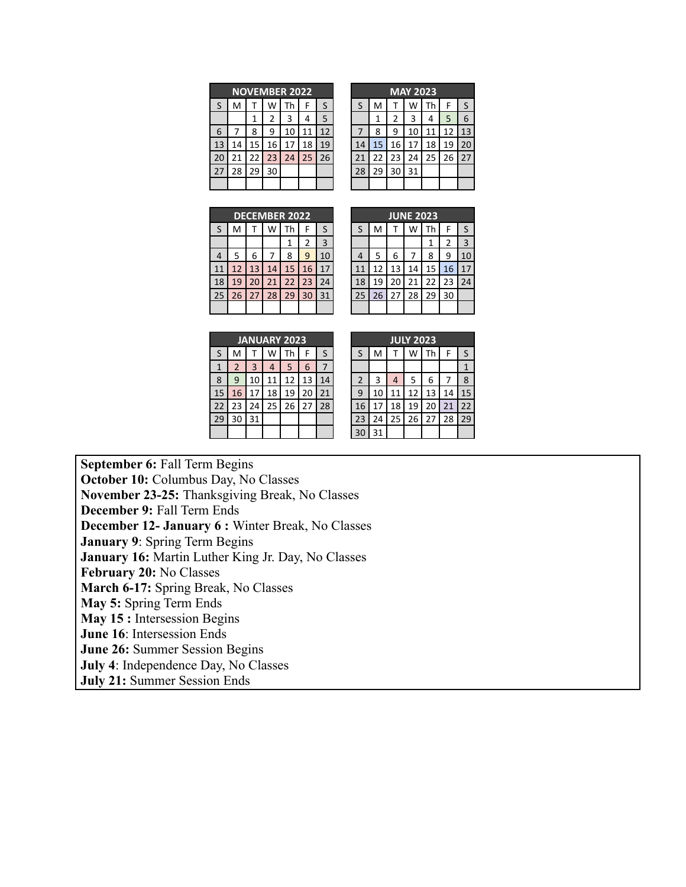|    | <b>NOVEMBER 2022</b> |    |    |    |    |    |  |  |
|----|----------------------|----|----|----|----|----|--|--|
| S  | M                    |    | W  | Th | F  | S  |  |  |
|    |                      | 1  | 2  | 3  | 4  | 5  |  |  |
| 6  |                      | 8  | ٩  | 10 | 11 | 12 |  |  |
| 13 | 14                   | 15 | 16 | 17 | 18 | 19 |  |  |
| 20 | 21                   | 22 | 23 | 24 | 25 | 26 |  |  |
| 27 | 28                   | 29 | 30 |    |    |    |  |  |
|    |                      |    |    |    |    |    |  |  |

| <b>MAY 2023</b> |    |    |    |    |    |    |  |  |  |
|-----------------|----|----|----|----|----|----|--|--|--|
| S               | M  | т  | W  | Th | F  | S  |  |  |  |
|                 | 1  | 2  | 3  | 4  | 5  | 6  |  |  |  |
|                 | 8  | 9  | 10 | 11 | 12 | 13 |  |  |  |
| 14              | 15 | 16 | 17 | 18 | 19 | 20 |  |  |  |
| 21              | 22 | 23 | 24 | 25 | 26 | 27 |  |  |  |
| 28              | 29 | 30 | 31 |    |    |    |  |  |  |
|                 |    |    |    |    |    |    |  |  |  |

| <b>DECEMBER 2022</b> |    |    |    |    |    |    |  |  |
|----------------------|----|----|----|----|----|----|--|--|
| S                    | M  | т  | W  | Th | F  | S  |  |  |
|                      |    |    |    |    | 2  | 3  |  |  |
| 4                    | 5  | 6  | 7  | 8  | 9  | 10 |  |  |
| 11                   | 12 | 13 | 14 | 15 | 16 | 17 |  |  |
| 18                   | 19 | 20 | 21 | 22 | 23 | 24 |  |  |
| 25                   | 26 | 27 | 28 | 29 | 30 | 31 |  |  |
|                      |    |    |    |    |    |    |  |  |

| <b>JUNE 2023</b> |           |    |    |    |    |    |  |  |
|------------------|-----------|----|----|----|----|----|--|--|
| S                | M         | т  |    | Th | F  | S  |  |  |
|                  |           |    |    | 1  | 2  | 3  |  |  |
| 4                | 5         | 6  | 7  | 8  | ٩  | 10 |  |  |
| 11               | 12        | 13 | 14 | 15 | 16 | 17 |  |  |
| 18               | 19        | 20 | 21 | 22 | 23 | 24 |  |  |
| 25               | $26$   27 |    | 28 | 29 | 30 |    |  |  |
|                  |           |    |    |    |    |    |  |  |

| <b>JANUARY 2023</b> |    |              |    |           |    |    |  |
|---------------------|----|--------------|----|-----------|----|----|--|
| S                   | M  |              | W  | <b>Th</b> | F  | S  |  |
| 1                   | 2  | $\mathbf{3}$ | 4  | 5         | 6  |    |  |
| 8                   | 9  | 10           | 11 | 12        | 13 | 14 |  |
| 15                  | 16 | 17           | 18 | 19        | 20 | 21 |  |
| 22                  | 23 | 24           | 25 | 26        | 27 | 28 |  |
| 29                  | 30 | 31           |    |           |    |    |  |
|                     |    |              |    |           |    |    |  |

|                | <b>JULY 2023</b> |    |    |    |    |    |  |  |  |  |
|----------------|------------------|----|----|----|----|----|--|--|--|--|
| S              | M                |    | W  | Th | F  | S  |  |  |  |  |
|                |                  |    |    |    |    | 1  |  |  |  |  |
| $\overline{2}$ | 3                | 4  | 5  | 6  |    | 8  |  |  |  |  |
| 9              | 10               | 11 | 12 | 13 | 14 | 15 |  |  |  |  |
| 16             | 17               | 18 | 19 | 20 | 21 | 22 |  |  |  |  |
| 23             | 24               | 25 | 26 | 27 | 28 | 29 |  |  |  |  |
| 30             | 31               |    |    |    |    |    |  |  |  |  |

**September 6:** Fall Term Begins **October 10:** Columbus Day, No Classes **November 23-25:** Thanksgiving Break, No Classes **December 9:** Fall Term Ends **December 12- January 6 :** Winter Break, No Classes **January 9**: Spring Term Begins **January 16:** Martin Luther King Jr. Day, No Classes **February 20:** No Classes **March 6-17:** Spring Break, No Classes **May 5:** Spring Term Ends **May 15 :** Intersession Begins **June 16**: Intersession Ends **June 26:** Summer Session Begins **July 4**: Independence Day, No Classes **July 21:** Summer Session Ends